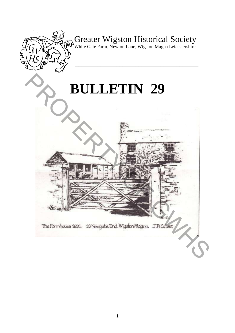

## Greater Wigston Historical Society

White Gate Farm, Newton Lane, Wigston Magna Leicestershire

**\_\_\_\_\_\_\_\_\_\_\_\_\_\_\_\_\_\_\_\_\_\_\_\_\_\_\_\_\_\_\_\_\_\_\_\_\_\_\_** 

# **BULLETIN 29**

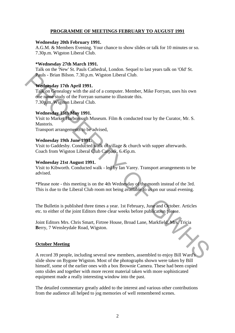#### **PROGRAMME OF MEETINGS FEBRUARY TO AUGUST 1991**

#### **Wednesday 20th February 1991.**

A.G.M. & Members Evening. Your chance to show slides or talk for 10 minutes or so. 7.30p.m. Wigston Liberal Club.

#### **\*Wednesday 27th March 1991.**

Talk on the 'New' St. Pauls Cathedral, London. Sequel to last years talk on 'Old' St. Pauls - Brian Bilson. 7.30.p.m. Wigston Liberal Club.

#### **Wednesday 17th April 1991.**

Talk on Genealogy with the aid of a computer. Member, Mike Forryan, uses his own one name study of the Forryan surname to illustrate this. 7.30p,m. Wigston Liberal Club. Pauls - Brian Bilson. 7.30.p.m. Wigston Liberal Club.<br>
Wednesday 17th April 1991.<br>
Talk on Genealogy with the aid of a computer. Member, Mike Forryan, uses his own<br>
one name study of the Forryan sumame to illustrate this.<br>

#### **Wednesday 15th May 1991.**

Visit to Market Harborough Museum. Film & conducted tour by the Curator, Mr. S. Mastoris.

Transport arrangements to be advised,

#### **Wednesday 19th June 1991.**

Visit to Gaddesby. Conducted walk of village & church with supper afterwards. Coach from Wigston Liberal Club Carpark, 6.45p.m.

#### **Wednesday 21st August 1991.**

Visit to Kibworth. Conducted walk - led by Ian Varey. Transport arrangements to be advised.

\*Please note - this meeting is on the 4th Wednesday of the month instead of the 3rd. This is due to the Liberal Club room not being available to us on our usual evening.

The Bulletin is published three times a year. 1st February, June and October. Articles etc. to either of the joint Editors three clear weeks before publication please.

Joint Editors Mrs. Chris Smart, Firtree House, Broad Lane, Markfield. Mrs. Tricia **B**erry, 7 Wensleydale Road, Wigston.

#### **October Meeting**

A record 39 people, including several new members, assembled to enjoy Bill Ward's slide show on Bygone Wigston. Most of the photographs shown were taken by Bill himself, some of the earlier ones with a box Brownie Camera. These had been copied onto slides and together with more recent material taken with more sophisticated equipment made a really interesting window into the past.

The detailed commentary greatly added to the interest and various other contributions from the audience all helped to jog memories of well remembered scenes.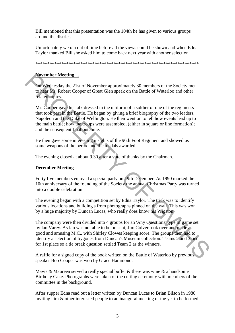Bill mentioned that this presentation was the 104th he has given to various groups around the district.

Unfortunately we ran out of time before all the views could be shown and when Edna Taylor thanked Bill she asked him to come back next year with another selection.

\*\*\*\*\*\*\*\*\*\*\*\*\*\*\*\*\*\*\*\*\*\*\*\*\*\*\*\*\*\*\*\*\*\*\*\*\*\*\*\*\*\*\*\*\*\*\*\*\*\*\*\*\*\*\*\*\*\*\*\*\*\*\*\*\*\*\*\*\*

#### **November Meeting ...**

On Wednesday the 21st of November approximately 30 members of the Society met to hear Mr. Robert Cooper of Great Glen speak on the Battle of Waterloo and other related topics.

Mr. Cooper gave his talk dressed in the uniform of a soldier of one of the regiments that took part in the Battle. He began by giving a brief biography of the two leaders, Napoleon and the Duke of Wellington. He then went on to tell how events lead up to the main battle; how the troups were assembled, (either in square or line formation); and the subsequent final outcome. **November Meeting**<br>
To the 21st of November approximately 30 members of the Society met<br>
to beat My. Robert Cooper of Great Glen speak on the Battle of Waterloo and other<br>
to beat My. Robert Cooper of Great Glen speak on

He then gave some interesting insights of the 96th Foot Regiment and showed us some weapons of the period and the medals awarded.

The evening closed at about 9.30 after a vote of thanks by the Chairman.

#### **December Meeting**

Forty five members enjoyed a special party on 19th December. As 1990 marked the 10th anniversary of the founding of the Society the annual Christmas Party was turned into a double celebration.

The evening began with a competition set by Edna Taylor. The trick was to identify various locations and building s from photographs pinned on the wall. This was won by a huge majority by Duncan Lucas, who really does know his Wigston.

The company were then divided into 4 groups for an 'Any Questions' type of game set by Ian Varey. As Ian was not able to be present, Jim Colver took over and made a good and amusing M.C., with Shirley Clowes keeping score. The groups then had to identify a selection of bygones from Duncan's Museum collection. Teams 2 and 3 tied for 1st place so a tie break question settled Team 2 as the winners.

A raffle for a signed copy of the book written on the Battle of Waterloo by previous speaker Bob Cooper was won by Grace Hammond.

Mavis & Maureen served a really special buffet & there was wine & a handsome Birthday Cake. Photographs were taken of the cutting ceremony with members of the committee in the background.

After supper Edna read out a letter written by Duncan Lucas to Brian Bilson in 1980 inviting him & other interested people to an inaugural meeting of the yet to be formed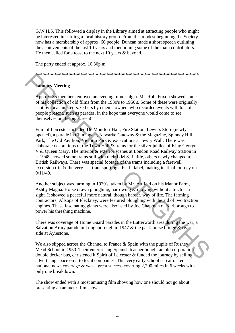G.W.H.S. This followed a display in the Library aimed at attracting people who might be interested in starting a local history group. From this modest beginning the Society now has a membership of approx. 60 people. Duncan made a short speech outlining the achievements of the last 10 years and mentioning some of the main contributors. He then called for a toast to the next 10 years & beyond.

The party ended at approx. 10.30p.m.

\*\*\*\*\*\*\*\*\*\*\*\*\*\*\*\*\*\*\*\*\*\*\*\*\*\*\*\*\*\*\*\*\*\*\*\*\*\*\*\*\*\*\*\*\*\*\*\*\*\*\*\*\*\*\*\*\*\*\*\*\*\*\*\*\*\*\*\*\*

### **January Meeting**

Approx. 35 members enjoyed an evening of nostalgia. Mr. Rob. Foxon showed some of his collection of old films from the 1930's to 1950's. Some of these were originally shot by local amateurs. Others by cinema owners who recorded events with lots of people present, such as parades, in the hope that everyone would come to see themselves on the big screen!

Film of Leicester included De Montfort Hall, Fire Station, Lewis's Store (newly opened), a parade in Churchgate, Newarke Gateway & the Magazine, Spinney Hill Park, The Old Pavilion, Victoria Park & excavations at Jewry Wall. There was elaborate decorations of the Town Hall & trams for the silver jubilee of King George V & Queen Mary. The interior & exterior scenes at London Road Railway Station in c. 1948 showed some trains still with their L.M.S.R, title, others newly changed to British Railways. There was special footage of the trams including a farewell excursion trip & the very last tram sporting a R.I.P. label, making its final journey on 9/11/49. **Example 2**<br> **Example 12**<br> **Example 25**<br> **Example 25**<br> **Example 25**<br> **Example 25**<br> **Example 26**<br> **Example 26**<br> **Example 26**<br> **Example 26**<br> **Example 26**<br> **Example 26**<br> **Example 26**<br> **Example 26**<br> **Example 26**<br> **Example 26** 

Another subject was farming in 1930's, taken by Mr. Attfield on his Manor Farm, Ashby Magna. Horse drawn ploughing, harrowing & mowing without a tractor in sight. It showed a peaceful more natural, though harder, way of life. The farming contractors, Allsops of Fleckney, were featured ploughing with the aid of two traction engines. These fascinating giants were also used by Joe Chapman of Narborough to power his threshing machine.

There was coverage of Home Guard parades in the Lutterworth area during the war, a Salvation Army parade in Loughborough in 1947 & the pack-horse bridge & river side at Aylestone.

We also slipped across the Channel to France & Spain with the pupils of Rushey Mead School in 1950. Their enterprising Spanish teacher bought an old corporation double decker bus, christened it Spirit of Leicester & funded the journey by selling advertising space on it to local companies. This very early school trip attracted national news coverage & was a great success covering 2,700 miles in 6 weeks with only one breakdown.

The show ended with a most amusing film showing how one should not go about presenting an amateur film show.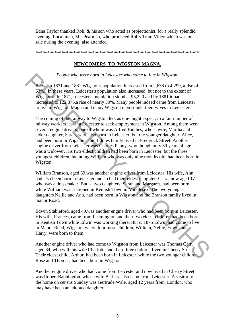Edna Taylor thanked Rob, & his son who acted as projectionist, for a really splendid evening. Local man, Mr. Pearman, who produced Rob's Tram Video which was on sale during the evening, also attended.

\*\*\*\*\*\*\*\*\*\*\*\*\*\*\*\*\*\*\*\*\*\*\*\*\*\*\*\*\*\*\*\*\*\*\*\*\*\*\*\*\*\*\*\*\*\*\*\*\*\*\*\*\*\*\*\*\*\*\*\*\*\*\*\*\*\*\*\*\*

#### **NEWCOMERS TO WIGSTON MAGNA.**

*People who were born in Leicester who came to live in Wigston.* 

Between 1871 and 1881 Wigston's population increased from 2,638 to 4,299, a rise of 63%. In these years, Leicester's population also increased, but not to the extent of Wigston's. In 1871,Leicester's population stood at 95,220 and by 1881 it had increased to 122,376,a rise of nearly 30%. Many people indeed came from Leicester to live in Wigston Magna and many Wigston men sought their wives in Leicester.

The coming of the railway to Wigston led, as one might expect, to a fair number of railway workers leaving Leicester to seek employment in Wigston. Among them were several engine drivers, one of whom was Alfred Biddies, whose wife, Martha and elder daughter, Sarah, were also born in Leicester, but the younger daughter, Alice, had been born in Wigston. The Biddies family lived in Frederick Street. Another engine driver from Leicester was Charles Penny, who though only 30 years of age was a widower. His two eldest children had been born in Leicester, but the three youngest children, including William who was only nine months old, had been born in Wigston. People who were born in Leicester who came to live in Wigston.<br>
Between 1871 and 1881 Wigston's population increased from 2.638 to 4.299, a rise of<br>
G3%. In these years, Leicester's population also increased, but not to th

William Branson, aged 39,was another engine driver from Leicester. His wife, Ann, had also been born in Leicester and so had their eldest daughter, Clara, now aged 17 who was a dressmaker. But - two daughters, Sarah and Margaret, had been born while William was stationed in Kentish Town in Middlesex. The two youngest daughters Nellie and Ann, had been born in Wigston and the Branson family lived in manor Road.

Edwin Stableford, aged 40,was another engine driver who had been born in Leicester. His wife, Frances, came from Leamington and their two eldest children had been born in Kentish Town while Edwin was working there. But c. 1875 Edwin had come to live in Manor Road, Wigston ,where four more children, William, Nellie, Edwin and Harry, were born to them.

Another engine driver who had come to Wigston from Leicester was Thomas Carr, aged 34, who with his wife Charlotte and their three children lived in Cherry Street. Their eldest child, Arthur, had been born in Leicester, while the two younger children, Rose and Thomas, had been born in Wigston,

Another engine driver who had come from Leicester and now lived in Cherry Street was Robert Babbington, whose wife Barbara also came from Leicester. A visitor to the home on census Sunday was Gertrude Wale, aged 12 years from. London, who may have been an adopted daughter.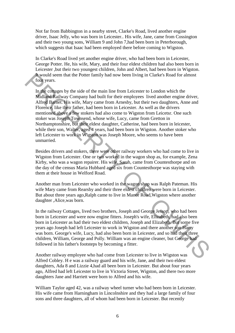Not far from Babbington in a nearby street, Clarke's Road, lived another engine driver, Isaac Jelly, who was born in Leicester.. His wife, Jane, came from Cossington and their two young sons, William 9 and John 7,had been born in Peterborough, which suggests that Isaac had been employed there before coming to Wigston.

In Clarke's Road lived yet another engine driver, who had been born in Leicester, George Potter. He, his wife, Mary, and their four eldest children had also been born in Leicester ,but their two youngest children, John and Albert, had been born in Wigston. It would seem that the Potter family had now been living in Clarke's Road for almost four years.

In the cottages by the side of the main line from Leicester to London which the Midland Railway Company had built for their employees lived another engine driver, Alfred Barnet. His wife, Mary came from Arnesby, but their two daughters, Anne and Florence, like their father, had been born in Leicester. As well as the drivers mentioned above a few stokers had also come to Wigston from Leicetsr. One such stoker was Joseph Townsend, whose wife, Lucy, came from Gretton in Northamptonshire, but their eldest daughter, Catherine, had been born in leicester, while their son, Walter, aged 4 years, had been born in Wigston. Another stoker who left Leicester to work in Wigston was Joseph Moore, who seems to have been unmarried. Frowould seem that the Potter family had now been living in Clarke's Road for almost<br>
In the congess by the side of the main line from Leicester to London which the<br>
Midland Railway Company had built for their employees li

Besides drivers and stokers, there were other railway workers who had come to live in Wigston from Leicester. One or two worked in the wagon shop as, for example, Zena Kirby, who was a wagon repairer. His wife, Sarah, came from Countesthorpe and on the day of the census Maria Hubbard aged six from Countesthorpe was staying with them at their house in Welford Road.

Another man from Leicester who worked in the wagon shop was Ralph Pateman. His wife Mary came from Rearsby and their three eldest children were born in Leicester. But about three years ago,Ralph came to live in Manor Road,Wigston where another daughter ,Alice,was born.

In the railway Cottages, lived two brothers, Joseph and George Jessop, who had been born in Leicester and were now engine fitters. Joseph's wife, Elizabeth, had also been born in Leicester as had their two eldest children, Joseph and Elizabeth. But some five years ago Joseph had left Leicester to work in Wigston and there another son Harry was born. George's wife, Lucy, had also been born in Leicester, and so had their three children, William, George and Polly. William was an engine cleaner, but George had followed in his father's footsteps by becoming a fitter.

Another railway employee who had come from Leicester to live in Wigston was Alfred Cobley. H e was a railway guard and his wife, Jane, and their two eldest daughters, Ada 8 and Lizzie 4,had all been born in Leicester. But about four years ago, Alfred had left Leicester to live in Victoria Street, Wigston, and there two more daughters Jane and Harriett were born to Alfred and his wife.

William Taylor aged 42, was a railway wheel turner who had been born in Leicester. His wife came from Harningham in Lincolnshire and they had a large family of four sons and three daughters, all of whom had been born in Leicester. But recently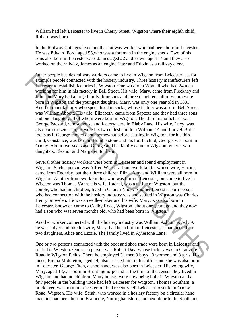William had left Leicester to live in Cherry Street, Wigston where their eighth child, Robert, was born.

In the Railway Cottages lived another railway worker who had been born in Leicester. He was Edward Ford, aged 55,who was a foreman in the engine sheds. Two of his sons also born in Leicester were James aged 22 and Edwin aged 14 and they also worked on the railway, James as an engine fitter and Edwin as a railway clerk.

Other people besides railway workers came to live in Wigston from Leicester, as, for example people connected with the hosiery industry. Three hosiery manufacturers left Leicester to establish factories in Wigston. One was John Wignall who had 24 men working for him in his factory in Bell Street. His wife, Mary, came from Fleckney and John and Mary had a large family, four sons and three daughters, all of whom were born in Wigston and the youngest daughter, Mary, was only one year old in 1881. Another manufacturer who specialised in socks, whose factory was also in Bell Street, was William Abbott. His wife, Elizabeth, came from Sapcote and they had three sons and one daughter, all of whom were born in Wigston. The third manufacturer was George Packard, whose house and factory were in Blaby Lane. His wife, Lucy, was also born in Leicester, as were his two eldest children William 14 and Lucy 9. But it looks as if George moved about somewhat before settling in Wigston, for his third child, Constance, was born in Humberstone and his fourth child, George, was born in Oadby. About two years ago George and his family came to Wigston, where twin daughters, Eleanor and Margaret, to them. Other people besides rullway workers came to live in Wigston from Leicester, as, for<br>example people connected with the hosiery industry. Three hosiery manufacturers left<br>versions ( $\sim$  geological model in division . One w

Several other hosiery workers were born in Leicester and found employment in Wigston. Such a person was Alfred Wheat, a framework knitter whose wife, Harriet, came from Enderby, but their three children Eliza, Amy and William were all born in Wigston. Another framework knitter, who was born in Leicester, but came to live in Wigston was Thomas Vann. His wife, Rachel, was a native of Wigston, but the couple, who had no children, lived in Church Nook. Another Leicester born person who had connection with the hosiery industry was and settled in Wigston was Charles Henry Snowden. He was a needle-maker and his wife, Mary, was also born in Leicester. Snowden came to Oadby Road, Wigston, about one year ago and they now had a son who was seven months old, who had been born in Wigston.

Another worker connected with the hosiery industry was William Ashton. Aged 39, he was a dyer and like his wife, Mary, had been born in Leicester, as had been their two daughters, Alice and Lizzie. The family lived in Aylestone Lane.

One or two persons connected with the boot and shoe trade were born in Leicester and settled in Wigston. One such person was Robert Day, whose factory was in Granville Road in Wigston Fields. There he employed 31 men,3 boys, l3 women and 3 girls. His niece, Emma Middleton, aged 14, also assisted him in his office and she was also born in Leicester. George Fitch, a shoe hand, was also born in Leicester. His young wife, Mary, aged 18,was born in Bruntingthorpe and at the time of the census they lived in Wigston and had no children. Many houses were now being built in Wigston and a few people in the building trade had left Leicester for Wigston. Thomas Southam, a bricklayer, was born in Leicester but had recently left Leicester to settle in Oadby Road, Wigston. His wife, Sarah, who worked in a hosiery factory on a circular hand machine had been born in Bramcote, Nottinghamshire, and next door to the Southams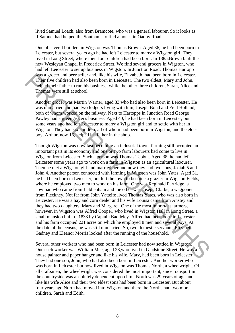lived Samuel Loach, also from Bramcote, who was a general labourer. So it looks as if Samuel had helped the Southams to find a house in Oadby Road .

One of several builders in Wigston was Thomas Brown. Aged 36, he had been born in Leicester, but several years ago he had left Leicester to marry a Wigston girl. They lived in Long Street, where their four children had been born. In 1885,Brown built the new Wesleyan Chapel in Frederick Street. We find several grocers in Wigston, who had left Leicester to set up business in Wigston. In Junction Road, Thomas Hartopp was a grocer and beer seller and, like his wife, Elizabeth, had been born in Leicester. Their five children had also been born in Leicester. The two eldest, Mary and John, helped their father to run his business, while the other three children, Sarah, Alice and Thomas were still at school.

Another grocer was Martin Warner, aged 33,who had also been born in Leicester. He was unmarried and had two lodgers living with him, Joseph Bond and Fred Holland, both of whom worked on the railway. Next to Hartopps in Junction Road George Pawley had a greengrocer's business. Aged 40, he had been born in Leicester, but some years ago had left Leicester to marry a Wigston girl and to settle with her in Wigston. They had six children, all of whom had been born in Wigston, and the eldest boy, Arthur, now 16, helped his father in the shop.

Though Wigston was now fast becoming an industrial town, farming still occupied an important part in its economy and one or two farm labourers had come to live in Wigston from Leicester. Such a person was Thomas Tebbut. Aged 38, he had left Leicester some years ago to work on a farm in Wigston as an agricultural labourer. Then he met a Wigston girl and married her and now they had two sons, Josiah 5 and John 4. Another person connected with farming in Wigston was John Yates. Aged 31, he had been born in Leicester, but left the town to become a grazier in Wigston Fields, where he employed two men to work on his farm. One was Reginald Partridge, a cowman who came from Lubbenham and the other was Joseph Clarke, a waggoner from Fleckney. Not far from John Yatteife lived Thomas Yates, who was also born in Leicester. He was a hay and corn dealer and his wife Louisa came from Anstey and they had two daughters, Mary and Margaret. One of the most important farmers, however, in Wigston was Alfred Cooper, who lived in Wigston Hall in Long Street, a small mansion built c. 1833 by Captain Baddeley. Alfred had been born in Leicester and his farm occupied 221 acres on which he employed 8 men and several boys. At the date of the census, he was still unmarried. So, two domestic servants, Elizabeth Gadney and Eleanor Morris looked after the running of the household. Was a grocor and betw seller and, like his wife, Elizabeh, had been born in Leicester. The two eldest, Mary and John, help their factor. The two eldest, Mary and John, help their factor for our his business, while the oth

Several other workers who had been born in Leicester had now settled in Wigston. One such worker was William Mee, aged 28,who lived in Gladstone Street. He was a house painter and paper hanger and like his wife, Mary, had been born in Leicester. They had one son, John, who had also been born in Leicester. Another worker who was born in Leicester but now lived in Wigston was Thomas North, a wheelwright. Of all craftsmen, the wheelwright was considered the most important, since transport in the countryside was absolutely dependent upon him. North was 29 years of age and like his wife Alice and their two eldest sons had been born in Leicester. But about four years ago North had moved into Wigston and there the Norths had two more children, Sarah and Edith.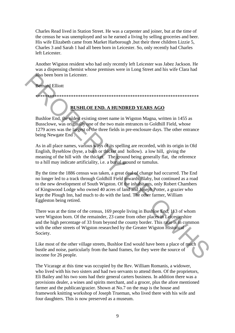Charles Read lived in Station Street. He was a carpenter and joiner, but at the time of the census he was unemployed and so he earned a living by selling groceries and beer. His wife Elizabeth came from Market Harborough ,but their three children Lizzie 5, Charles 3 and Sarah 1 had all been born in Leicester. So, only recently had Charles left Leicester.

Another Wigston resident who had only recently left Leicester was Jabez Jackson. He was a dispensing chemist whose premises were in Long Street and his wife Clara had also been born in Leicester.

#### Bernard Elliott

#### **BUSHLOE END. A HUNDRED YEARS AGO**

\*\*\*\*\*\*\*\*\*\*\*\*\*\*\*\*\*\*\*\*\*\*\*\*\*\*\*\*\*\*\*\*\*\*\*\*\*\*\*\*\*\*\*\*\*\*\*\*\*\*\*\*\*\*\*\*\*\*\*\*\*\*\*\*\*\*\*\*\*

Bushloe End, the oldest existing street name in Wigston Magna, written in 1455 as Bussclowe, was originally one of the two main entrances to Goldhill Field, whose 1279 acres was the largest of the three fields in pre-enclosure days. The other entrance being Newgate End .

As in all place names, various ways of its spelling are recorded, with its origin in Old English, Bysehlow (byse, a bush or thicket and hollow). a low hill, giving the meaning of the hill with the thicket. The ground being generally flat, the reference to a hill may indicate artificiality, i.e. a burial ground or tumulus.

By the time the 1886 census was taken, a great deal of change had occurred. The End no longer led to a track through Goldhill Field towards Blaby, but continued as a road to the new development of South Wigston. Of the inhabitants, only Robert Chambers of Kingswood Lodge who owned 40 acres of land and Joseph Potter, a grazier who kept the Plough Inn, had much to do with the land. The other farmer, William Eggleston being retired. **Example 19**<br> **Referred Elliott**<br> **Referred Elliott**<br> **RESHILOE END. A HUNDRED YEARS AGO<br>
Bushloe End, the oldest existing street name in Wigston Magna, written in 1455 as<br>
Bushclowe, was originally one of the two main ent** 

There was at the time of the census, 169 people living in Bushloe End, 113 of whom were Wigston born. Of the remainder, 23 came from other places in Leicestershire and the high percentage of 33 from beyond the county border. This ratio is in common with the other streets of Wigston researched by the Greater Wigston Historical Society.

Like most of the other village streets, Bushloe End would have been a place of much bustle and noise, particularly from the hand frames, for they were the source of income for 26 people.

The Vicarage at this time was occupied by the Rev. William Romanis, a widower, who lived with his two sisters and had two servants to attend them. Of the proprietors, Eli Bailey and his two sons had their general carters business. In addition there was a provisions dealer, a wines and spirits merchant, and a grocer, plus the afore mentioned farmer and the publican/grazier. Shown at No.7 on the map is the house and framework knitting workshop of Joseph Trueman, who lived there with his wife and four daughters. This is now preserved as a museum.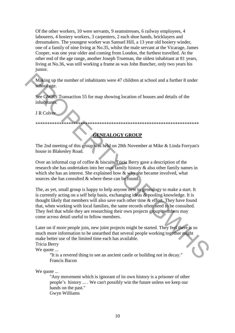Of the other workers, 10 were servants, 9 seamstresses, 6 railway employees, 4 labourers, 4 hosiery workers, 3 carpenters, 2 each shoe hands, bricklayers and dressmakers. The youngest worker was Samuel Hill, a 13 year old hosiery winder, one of a family of nine living at No.35, whilst the male servant at the Vicarage, James Cooper, was one year older and coming from London, the furthest travelled. At the other end of the age range, another Joseph Trueman, the oldest inhabitant at 81 years, living at No.36, was still working a frame as was John Buncher, only two years his junior.

Making up the number of inhabitants were 47 children at school and a further 8 under school age.

See GWHS Transaction 55 for map showing location of houses and details of the inhabitants.

J R Colver

\*\*\*\*\*\*\*\*\*\*\*\*\*\*\*\*\*\*\*\*\*\*\*\*\*\*\*\*\*\*\*\*\*\*\*\*\*\*\*\*\*\*\*\*\*\*\*\*\*\*\*\*\*\*\*\*\*\*\*\*\*\*\*\*\*\*\*\*\*

#### **GENEALOGY GROUP**

The 2nd meeting of this group was held on 28th November at Mike & Linda Forryan's house in Blakesley Road.

Over an informal cup of coffee & biscuits Tricia Berry gave a description of the research she has undertaken into her own family history & also other family names in which she has an interest. She explained how & why she became involved, what sources she has consulted & where these can be found.

The, as yet, small group is happy to help anyone new to genealogy to make a start. It is currently acting on a self help basis, exchanging ideas & pooling knowledge. It is thought likely that members will also save each other time & effort. They have found that, when working with local families, the same records often need to be consulted. They feel that while they are researching their own projects group members may come across detail useful to fellow members. Making up the number of inhabitants were 47 children at school and a further 8 under<br>school age.<br>See GWHS Transaction 55 for map showing location of houses and details of the<br>inhabitants.<br>JRCoVernel inhabitants.<br>TRCoVerne

Later on if more people join, new joint projects might be started. They feel there is so much more information to be unearthed that several people working together might make better use of the limited time each has available.

Tricia Berry

We quote ...

"It is a revered thing to see an ancient castle or building not in decay." Francis Bacon

We quote ...

"Any movement which is ignorant of its own history is a prisoner of other people's history ... . We can't possibly win the future unless we keep our hands on the past." Gwyn Williams